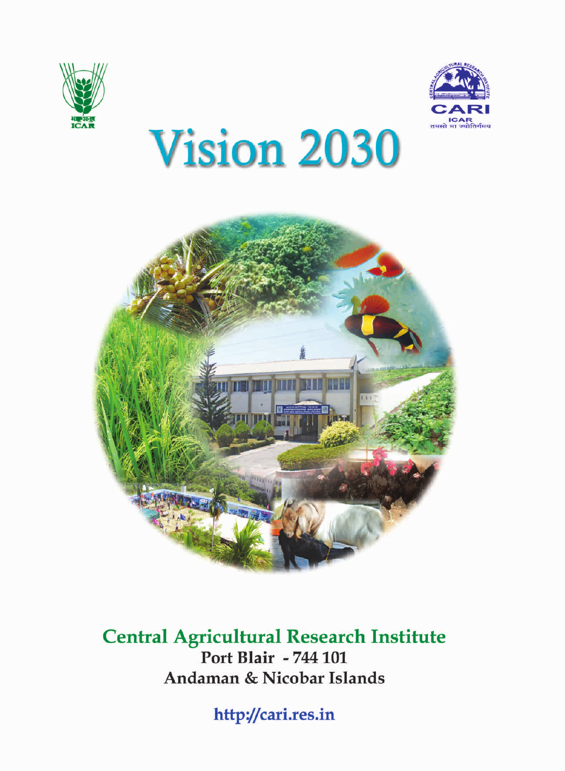



# **Vision 2030**



#### **Central Agricultural Research Institute** Port Blair - 744 101 Andaman & Nicobar Islands

http://cari.res.in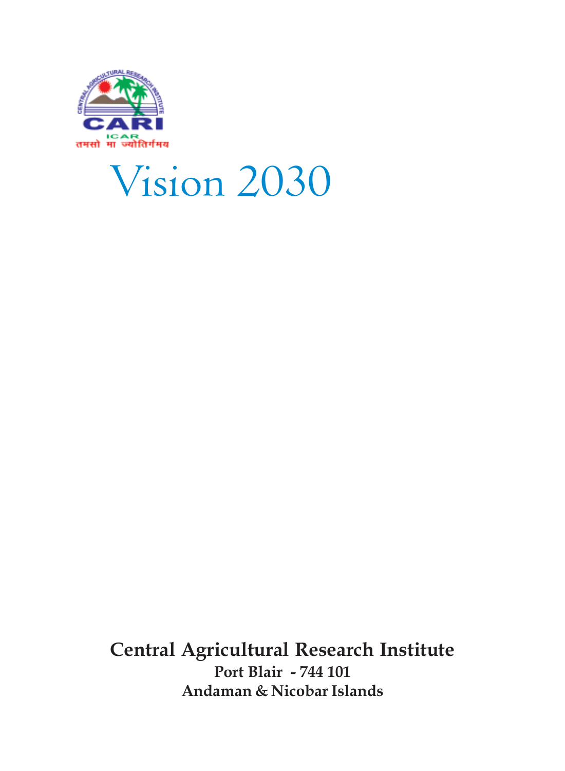

## Vision 2030

**Central Agricultural Research Institute Port Blair - 744 101 Andaman & Nicobar Islands**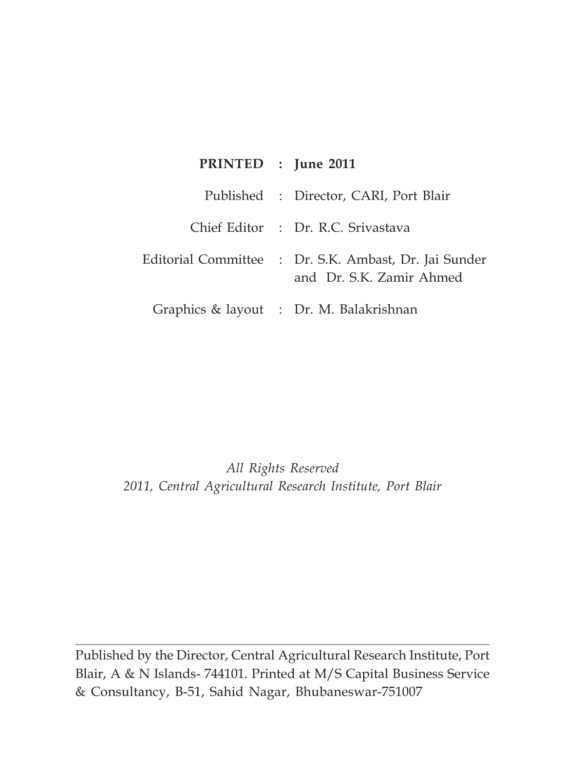| PRINTED : June 2011 |                                                                                        |
|---------------------|----------------------------------------------------------------------------------------|
|                     | Published : Director, CARI, Port Blair                                                 |
|                     | Chief Editor : Dr. R.C. Srivastava                                                     |
|                     | Editorial Committee    :   Dr. S.K. Ambast, Dr. Jai Sunder<br>and Dr. S.K. Zamir Ahmed |
|                     | Graphics & layout : Dr. M. Balakrishnan                                                |

*All Rights Reserved 2011, Central Agricultural Research Institute, Port Blair*

Published by the Director, Central Agricultural Research Institute, Port Blair, A & N Islands- 744101. Printed at M/S Capital Business Service & Consultancy, B-51, Sahid Nagar, Bhubaneswar-751007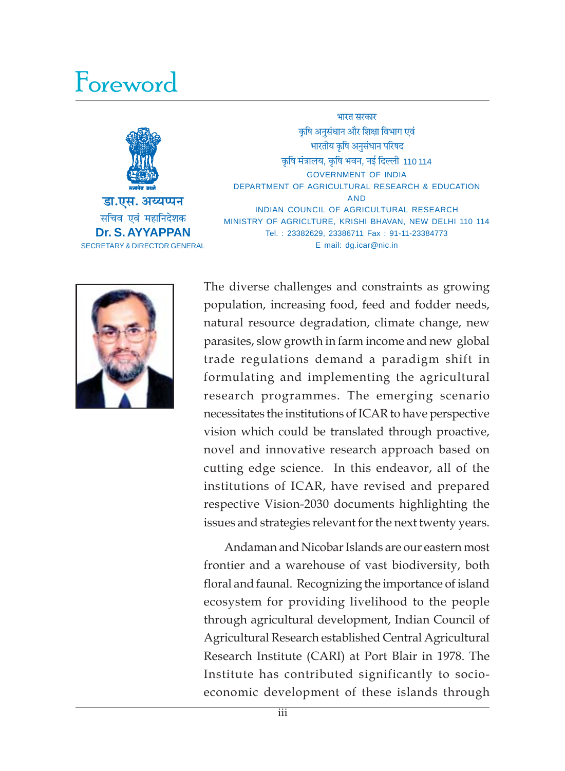### Foreword



भारत सरकार कृषि अनुसंधान और शिक्षा विभाग एवं भारतीय कृषि अनुसंधान परिषद कषि मंत्रालय, कषि भवन, नई दिल्ली 110 114 GOVERNMENT OF INDIA DEPARTMENT OF AGRICULTURAL RESEARCH & EDUCATION AND INDIAN COUNCIL OF AGRICULTURAL RESEARCH MINISTRY OF AGRICLTURE, KRISHI BHAVAN, NEW DELHI 110 114 Tel. : 23382629, 23386711 Fax : 91-11-23384773 E mail: dg.icar@nic.in



The diverse challenges and constraints as growing population, increasing food, feed and fodder needs, natural resource degradation, climate change, new parasites, slow growth in farm income and new global trade regulations demand a paradigm shift in formulating and implementing the agricultural research programmes. The emerging scenario necessitates the institutions of ICAR to have perspective vision which could be translated through proactive, novel and innovative research approach based on cutting edge science. In this endeavor, all of the institutions of ICAR, have revised and prepared respective Vision-2030 documents highlighting the issues and strategies relevant for the next twenty years.

Andaman and Nicobar Islands are our eastern most frontier and a warehouse of vast biodiversity, both floral and faunal. Recognizing the importance of island ecosystem for providing livelihood to the people through agricultural development, Indian Council of Agricultural Research established Central Agricultural Research Institute (CARI) at Port Blair in 1978. The Institute has contributed significantly to socioeconomic development of these islands through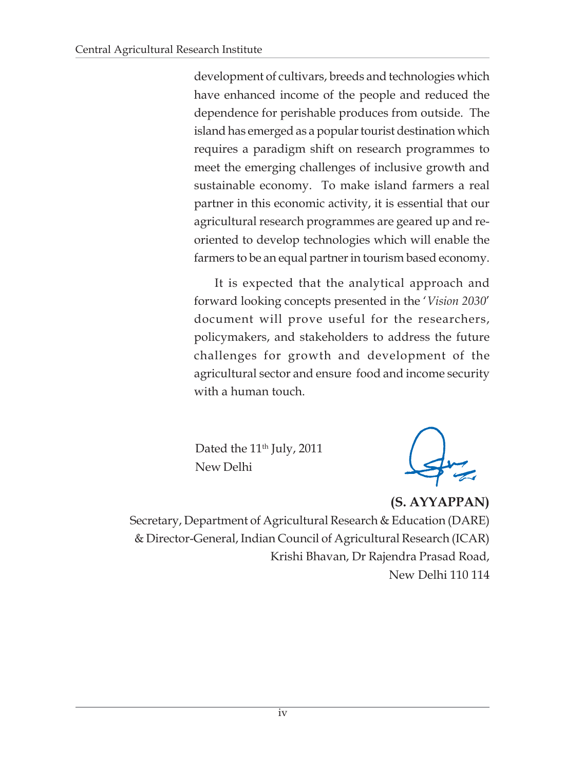development of cultivars, breeds and technologies which have enhanced income of the people and reduced the dependence for perishable produces from outside. The island has emerged as a popular tourist destination which requires a paradigm shift on research programmes to meet the emerging challenges of inclusive growth and sustainable economy. To make island farmers a real partner in this economic activity, it is essential that our agricultural research programmes are geared up and reoriented to develop technologies which will enable the farmers to be an equal partner in tourism based economy.

It is expected that the analytical approach and forward looking concepts presented in the '*Vision 2030*' document will prove useful for the researchers, policymakers, and stakeholders to address the future challenges for growth and development of the agricultural sector and ensure food and income security with a human touch.

Dated the 11<sup>th</sup> July, 2011 New Delhi

**(S. AYYAPPAN)** Secretary, Department of Agricultural Research & Education (DARE) & Director-General, Indian Council of Agricultural Research (ICAR) Krishi Bhavan, Dr Rajendra Prasad Road, New Delhi 110 114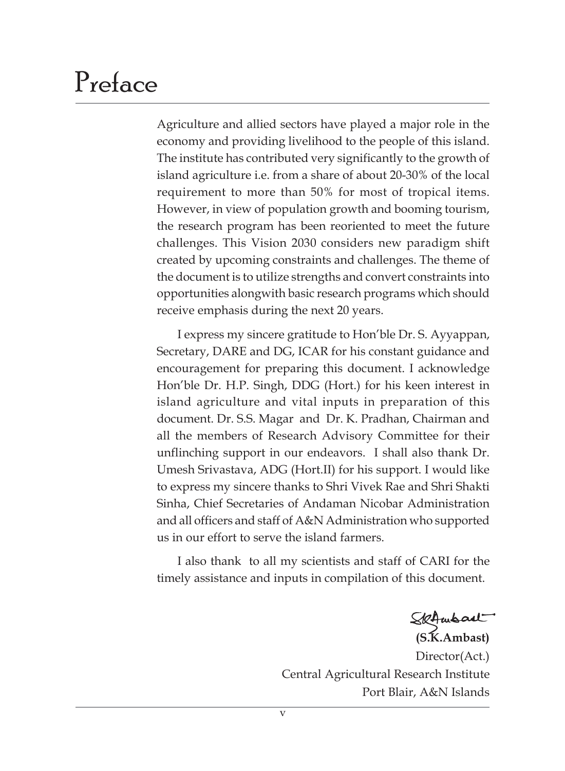### Preface

Agriculture and allied sectors have played a major role in the economy and providing livelihood to the people of this island. The institute has contributed very significantly to the growth of island agriculture i.e. from a share of about 20-30% of the local requirement to more than 50% for most of tropical items. However, in view of population growth and booming tourism, the research program has been reoriented to meet the future challenges. This Vision 2030 considers new paradigm shift created by upcoming constraints and challenges. The theme of the document is to utilize strengths and convert constraints into opportunities alongwith basic research programs which should receive emphasis during the next 20 years.

I express my sincere gratitude to Hon'ble Dr. S. Ayyappan, Secretary, DARE and DG, ICAR for his constant guidance and encouragement for preparing this document. I acknowledge Hon'ble Dr. H.P. Singh, DDG (Hort.) for his keen interest in island agriculture and vital inputs in preparation of this document. Dr. S.S. Magar and Dr. K. Pradhan, Chairman and all the members of Research Advisory Committee for their unflinching support in our endeavors. I shall also thank Dr. Umesh Srivastava, ADG (Hort.II) for his support. I would like to express my sincere thanks to Shri Vivek Rae and Shri Shakti Sinha, Chief Secretaries of Andaman Nicobar Administration and all officers and staff of A&N Administration who supported us in our effort to serve the island farmers.

I also thank to all my scientists and staff of CARI for the timely assistance and inputs in compilation of this document.

**(S.K.Ambast)**

Director(Act.) Central Agricultural Research Institute Port Blair, A&N Islands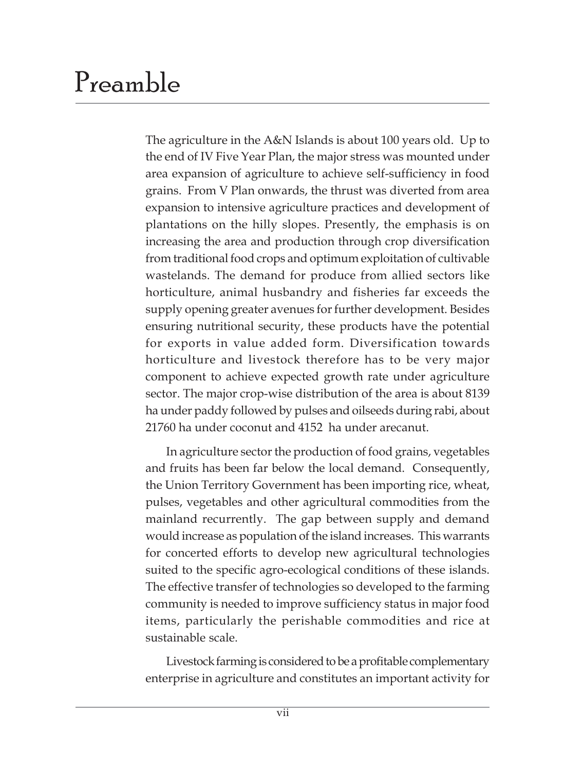### Preamble

The agriculture in the A&N Islands is about 100 years old. Up to the end of IV Five Year Plan, the major stress was mounted under area expansion of agriculture to achieve self-sufficiency in food grains. From V Plan onwards, the thrust was diverted from area expansion to intensive agriculture practices and development of plantations on the hilly slopes. Presently, the emphasis is on increasing the area and production through crop diversification from traditional food crops and optimum exploitation of cultivable wastelands. The demand for produce from allied sectors like horticulture, animal husbandry and fisheries far exceeds the supply opening greater avenues for further development. Besides ensuring nutritional security, these products have the potential for exports in value added form. Diversification towards horticulture and livestock therefore has to be very major component to achieve expected growth rate under agriculture sector. The major crop-wise distribution of the area is about 8139 ha under paddy followed by pulses and oilseeds during rabi, about 21760 ha under coconut and 4152 ha under arecanut.

In agriculture sector the production of food grains, vegetables and fruits has been far below the local demand. Consequently, the Union Territory Government has been importing rice, wheat, pulses, vegetables and other agricultural commodities from the mainland recurrently. The gap between supply and demand would increase as population of the island increases. This warrants for concerted efforts to develop new agricultural technologies suited to the specific agro-ecological conditions of these islands. The effective transfer of technologies so developed to the farming community is needed to improve sufficiency status in major food items, particularly the perishable commodities and rice at sustainable scale.

Livestock farming is considered to be a profitable complementary enterprise in agriculture and constitutes an important activity for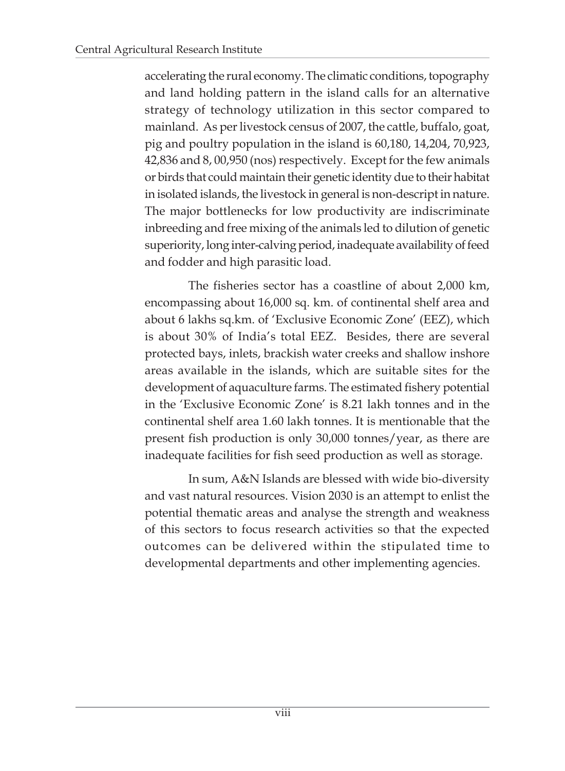accelerating the rural economy. The climatic conditions, topography and land holding pattern in the island calls for an alternative strategy of technology utilization in this sector compared to mainland. As per livestock census of 2007, the cattle, buffalo, goat, pig and poultry population in the island is 60,180, 14,204, 70,923, 42,836 and 8, 00,950 (nos) respectively. Except for the few animals or birds that could maintain their genetic identity due to their habitat in isolated islands, the livestock in general is non-descript in nature. The major bottlenecks for low productivity are indiscriminate inbreeding and free mixing of the animals led to dilution of genetic superiority, long inter-calving period, inadequate availability of feed and fodder and high parasitic load.

The fisheries sector has a coastline of about 2,000 km, encompassing about 16,000 sq. km. of continental shelf area and about 6 lakhs sq.km. of 'Exclusive Economic Zone' (EEZ), which is about 30% of India's total EEZ. Besides, there are several protected bays, inlets, brackish water creeks and shallow inshore areas available in the islands, which are suitable sites for the development of aquaculture farms. The estimated fishery potential in the 'Exclusive Economic Zone' is 8.21 lakh tonnes and in the continental shelf area 1.60 lakh tonnes. It is mentionable that the present fish production is only 30,000 tonnes/year, as there are inadequate facilities for fish seed production as well as storage.

In sum, A&N Islands are blessed with wide bio-diversity and vast natural resources. Vision 2030 is an attempt to enlist the potential thematic areas and analyse the strength and weakness of this sectors to focus research activities so that the expected outcomes can be delivered within the stipulated time to developmental departments and other implementing agencies.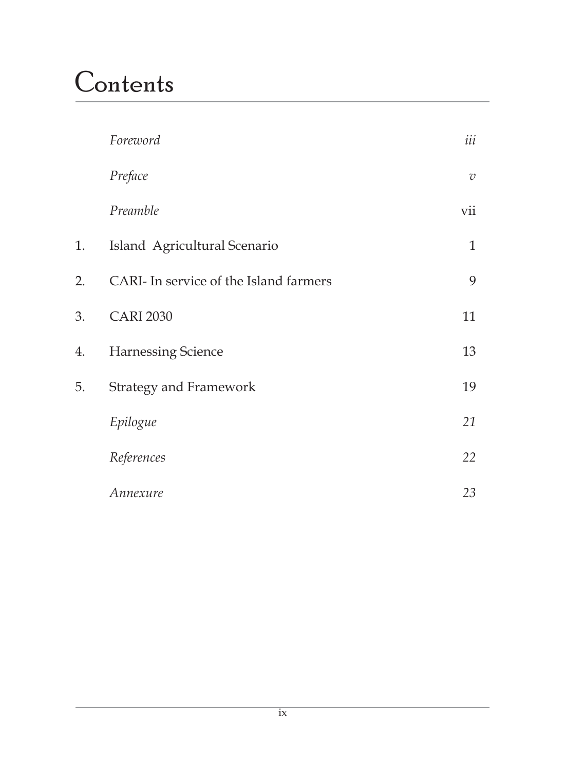### **Contents**

|    | Foreword                               | iii            |
|----|----------------------------------------|----------------|
|    | Preface                                | $\overline{v}$ |
|    | Preamble                               | vii            |
| 1. | Island Agricultural Scenario           | $\mathbf{1}$   |
| 2. | CARI- In service of the Island farmers | 9              |
| 3. | <b>CARI 2030</b>                       | 11             |
| 4. | Harnessing Science                     | 13             |
| 5. | <b>Strategy and Framework</b>          | 19             |
|    | Epilogue                               | 21             |
|    | References                             | 22             |
|    | Annexure                               | 23             |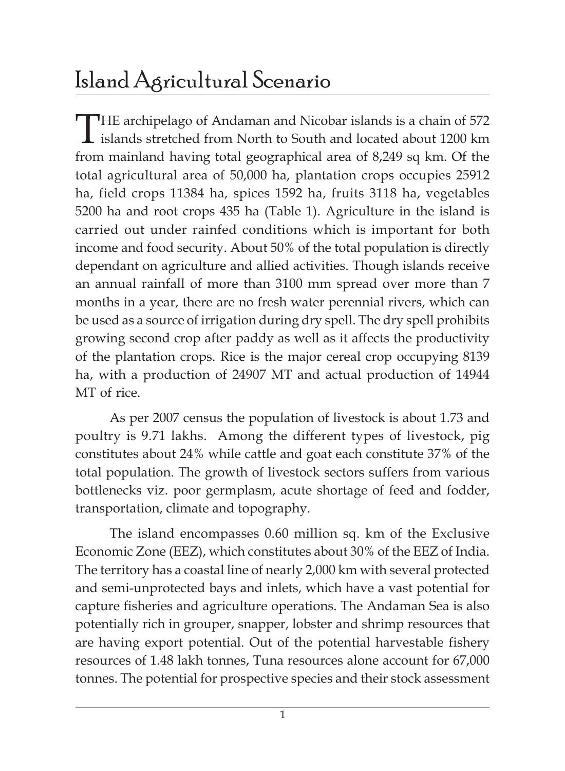### Island Agricultural Scenario

THE archipelago of Andaman and Nicobar islands is a chain of 572<br>islands stretched from North to South and located about 1200 km from mainland having total geographical area of 8,249 sq km. Of the total agricultural area of 50,000 ha, plantation crops occupies 25912 ha, field crops 11384 ha, spices 1592 ha, fruits 3118 ha, vegetables 5200 ha and root crops 435 ha (Table 1). Agriculture in the island is carried out under rainfed conditions which is important for both income and food security. About 50% of the total population is directly dependant on agriculture and allied activities. Though islands receive an annual rainfall of more than 3100 mm spread over more than 7 months in a year, there are no fresh water perennial rivers, which can be used as a source of irrigation during dry spell. The dry spell prohibits growing second crop after paddy as well as it affects the productivity of the plantation crops. Rice is the major cereal crop occupying 8139 ha, with a production of 24907 MT and actual production of 14944 MT of rice.

As per 2007 census the population of livestock is about 1.73 and poultry is 9.71 lakhs. Among the different types of livestock, pig constitutes about 24% while cattle and goat each constitute 37% of the total population. The growth of livestock sectors suffers from various bottlenecks viz. poor germplasm, acute shortage of feed and fodder, transportation, climate and topography.

The island encompasses 0.60 million sq. km of the Exclusive Economic Zone (EEZ), which constitutes about 30% of the EEZ of India. The territory has a coastal line of nearly 2,000 km with several protected and semi-unprotected bays and inlets, which have a vast potential for capture fisheries and agriculture operations. The Andaman Sea is also potentially rich in grouper, snapper, lobster and shrimp resources that are having export potential. Out of the potential harvestable fishery resources of 1.48 lakh tonnes, Tuna resources alone account for 67,000 tonnes. The potential for prospective species and their stock assessment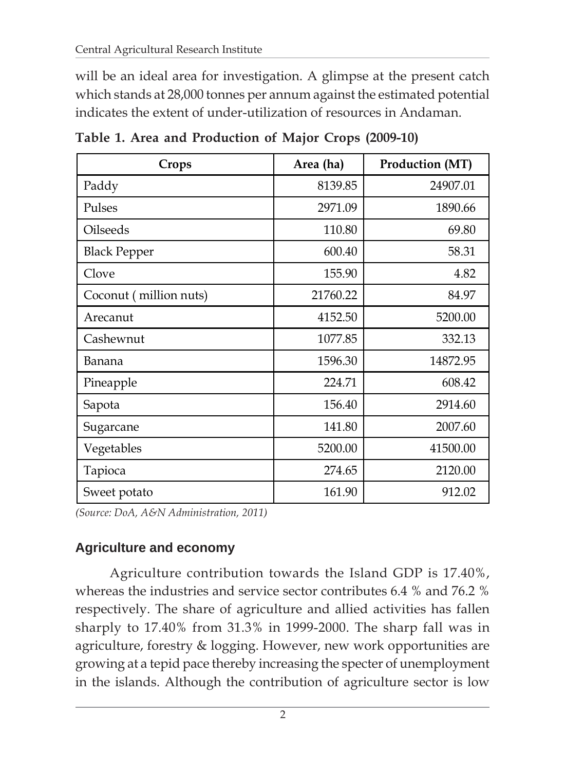will be an ideal area for investigation. A glimpse at the present catch which stands at 28,000 tonnes per annum against the estimated potential indicates the extent of under-utilization of resources in Andaman.

| Crops                  | Area (ha) | Production (MT) |
|------------------------|-----------|-----------------|
| Paddy                  | 8139.85   | 24907.01        |
| Pulses                 | 2971.09   | 1890.66         |
| Oilseeds               | 110.80    | 69.80           |
| <b>Black Pepper</b>    | 600.40    | 58.31           |
| Clove                  | 155.90    | 4.82            |
| Coconut (million nuts) | 21760.22  | 84.97           |
| Arecanut               | 4152.50   | 5200.00         |
| Cashewnut              | 1077.85   | 332.13          |
| Banana                 | 1596.30   | 14872.95        |
| Pineapple              | 224.71    | 608.42          |
| Sapota                 | 156.40    | 2914.60         |
| Sugarcane              | 141.80    | 2007.60         |
| Vegetables             | 5200.00   | 41500.00        |
| Tapioca                | 274.65    | 2120.00         |
| Sweet potato           | 161.90    | 912.02          |

**Table 1. Area and Production of Major Crops (2009-10)**

*(Source: DoA, A&N Administration, 2011)*

#### **Agriculture and economy**

Agriculture contribution towards the Island GDP is 17.40%, whereas the industries and service sector contributes 6.4 % and 76.2 % respectively. The share of agriculture and allied activities has fallen sharply to 17.40% from 31.3% in 1999-2000. The sharp fall was in agriculture, forestry & logging. However, new work opportunities are growing at a tepid pace thereby increasing the specter of unemployment in the islands. Although the contribution of agriculture sector is low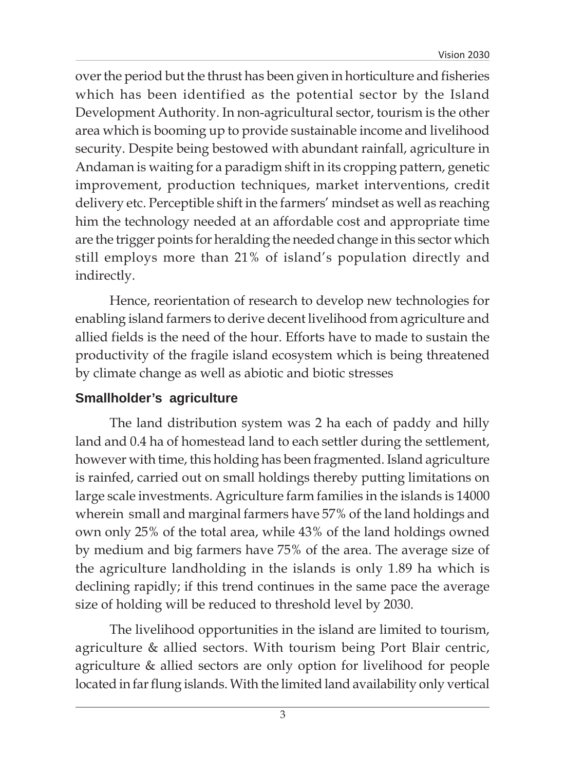over the period but the thrust has been given in horticulture and fisheries which has been identified as the potential sector by the Island Development Authority. In non-agricultural sector, tourism is the other area which is booming up to provide sustainable income and livelihood security. Despite being bestowed with abundant rainfall, agriculture in Andaman is waiting for a paradigm shift in its cropping pattern, genetic improvement, production techniques, market interventions, credit delivery etc. Perceptible shift in the farmers' mindset as well as reaching him the technology needed at an affordable cost and appropriate time are the trigger points for heralding the needed change in this sector which still employs more than 21% of island's population directly and indirectly.

Hence, reorientation of research to develop new technologies for enabling island farmers to derive decent livelihood from agriculture and allied fields is the need of the hour. Efforts have to made to sustain the productivity of the fragile island ecosystem which is being threatened by climate change as well as abiotic and biotic stresses

#### **Smallholder's agriculture**

The land distribution system was 2 ha each of paddy and hilly land and 0.4 ha of homestead land to each settler during the settlement, however with time, this holding has been fragmented. Island agriculture is rainfed, carried out on small holdings thereby putting limitations on large scale investments. Agriculture farm families in the islands is 14000 wherein small and marginal farmers have 57% of the land holdings and own only 25% of the total area, while 43% of the land holdings owned by medium and big farmers have 75% of the area. The average size of the agriculture landholding in the islands is only 1.89 ha which is declining rapidly; if this trend continues in the same pace the average size of holding will be reduced to threshold level by 2030.

The livelihood opportunities in the island are limited to tourism, agriculture & allied sectors. With tourism being Port Blair centric, agriculture & allied sectors are only option for livelihood for people located in far flung islands. With the limited land availability only vertical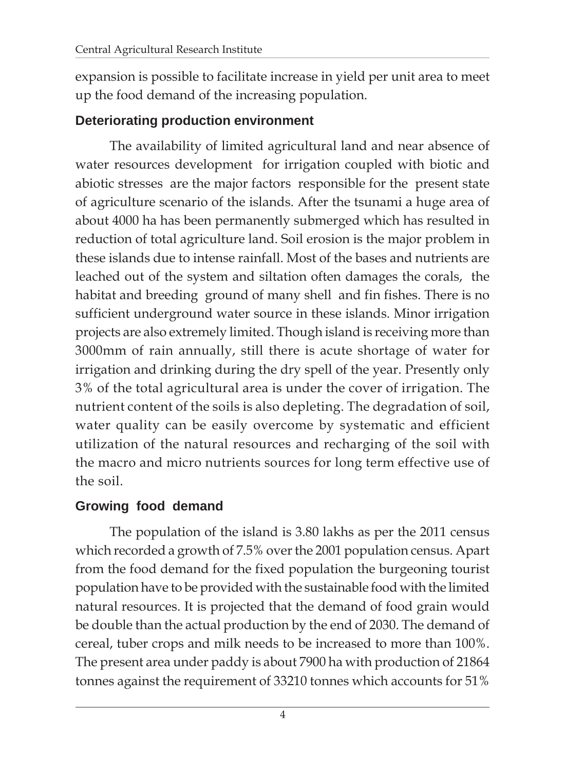expansion is possible to facilitate increase in yield per unit area to meet up the food demand of the increasing population.

#### **Deteriorating production environment**

The availability of limited agricultural land and near absence of water resources development for irrigation coupled with biotic and abiotic stresses are the major factors responsible for the present state of agriculture scenario of the islands. After the tsunami a huge area of about 4000 ha has been permanently submerged which has resulted in reduction of total agriculture land. Soil erosion is the major problem in these islands due to intense rainfall. Most of the bases and nutrients are leached out of the system and siltation often damages the corals, the habitat and breeding ground of many shell and fin fishes. There is no sufficient underground water source in these islands. Minor irrigation projects are also extremely limited. Though island is receiving more than 3000mm of rain annually, still there is acute shortage of water for irrigation and drinking during the dry spell of the year. Presently only 3% of the total agricultural area is under the cover of irrigation. The nutrient content of the soils is also depleting. The degradation of soil, water quality can be easily overcome by systematic and efficient utilization of the natural resources and recharging of the soil with the macro and micro nutrients sources for long term effective use of the soil.

#### **Growing food demand**

The population of the island is 3.80 lakhs as per the 2011 census which recorded a growth of 7.5% over the 2001 population census. Apart from the food demand for the fixed population the burgeoning tourist population have to be provided with the sustainable food with the limited natural resources. It is projected that the demand of food grain would be double than the actual production by the end of 2030. The demand of cereal, tuber crops and milk needs to be increased to more than 100%. The present area under paddy is about 7900 ha with production of 21864 tonnes against the requirement of 33210 tonnes which accounts for 51%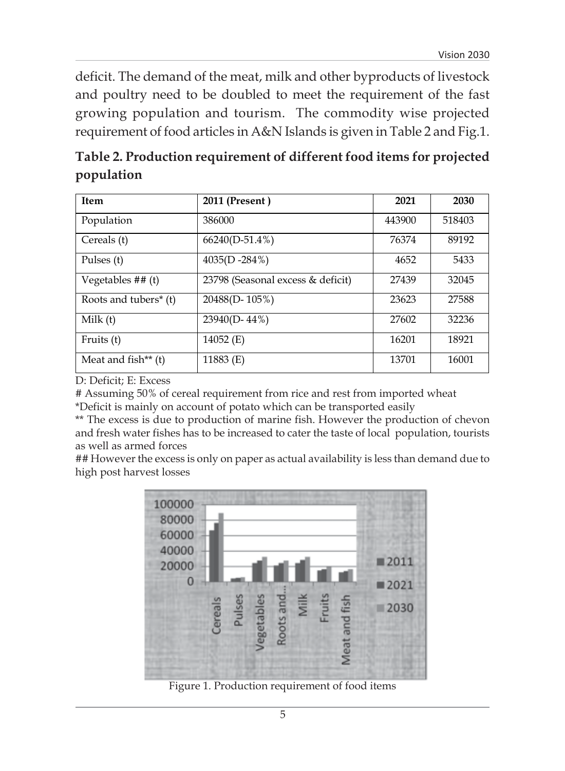deficit. The demand of the meat, milk and other byproducts of livestock and poultry need to be doubled to meet the requirement of the fast growing population and tourism. The commodity wise projected requirement of food articles in A&N Islands is given in Table 2 and Fig.1.

**Table 2. Production requirement of different food items for projected population**

| <b>Item</b>                       | 2011 (Present)                    | 2021   | 2030   |
|-----------------------------------|-----------------------------------|--------|--------|
| Population                        | 386000                            | 443900 | 518403 |
| Cereals (t)                       | $66240(D-51.4\%)$                 | 76374  | 89192  |
| Pulses (t)                        | 4035(D -284%)                     | 4652   | 5433   |
| Vegetables $##(t)$                | 23798 (Seasonal excess & deficit) | 27439  | 32045  |
| Roots and tubers <sup>*</sup> (t) | 20488(D-105%)                     | 23623  | 27588  |
| Milk(t)                           | 23940(D-44%)                      | 27602  | 32236  |
| Fruits (t)                        | 14052 (E)                         | 16201  | 18921  |
| Meat and fish** $(t)$             | 11883 $(E)$                       | 13701  | 16001  |

D: Deficit; E: Excess

# Assuming 50% of cereal requirement from rice and rest from imported wheat \*Deficit is mainly on account of potato which can be transported easily

\*\* The excess is due to production of marine fish. However the production of chevon and fresh water fishes has to be increased to cater the taste of local population, tourists as well as armed forces

## However the excess is only on paper as actual availability is less than demand due to high post harvest losses



Figure 1. Production requirement of food items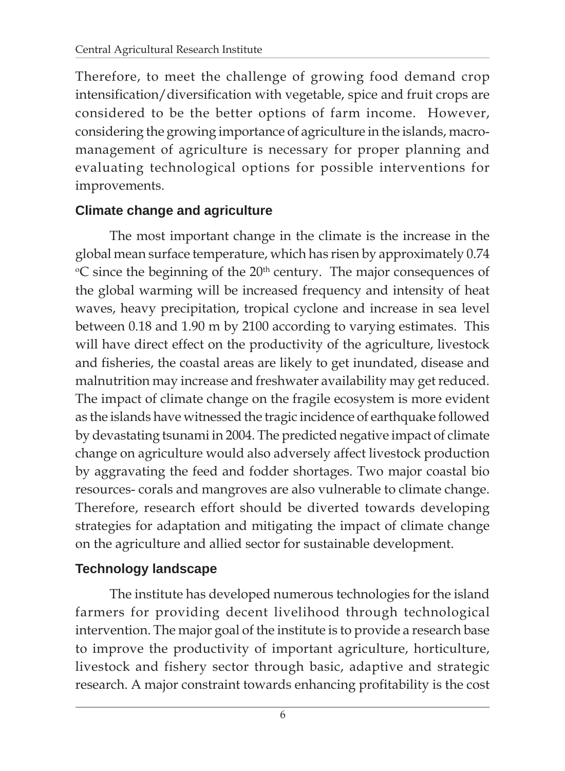Therefore, to meet the challenge of growing food demand crop intensification/diversification with vegetable, spice and fruit crops are considered to be the better options of farm income. However, considering the growing importance of agriculture in the islands, macromanagement of agriculture is necessary for proper planning and evaluating technological options for possible interventions for improvements.

#### **Climate change and agriculture**

The most important change in the climate is the increase in the global mean surface temperature, which has risen by approximately 0.74 <sup>o</sup>C since the beginning of the 20<sup>th</sup> century. The major consequences of the global warming will be increased frequency and intensity of heat waves, heavy precipitation, tropical cyclone and increase in sea level between 0.18 and 1.90 m by 2100 according to varying estimates. This will have direct effect on the productivity of the agriculture, livestock and fisheries, the coastal areas are likely to get inundated, disease and malnutrition may increase and freshwater availability may get reduced. The impact of climate change on the fragile ecosystem is more evident as the islands have witnessed the tragic incidence of earthquake followed by devastating tsunami in 2004. The predicted negative impact of climate change on agriculture would also adversely affect livestock production by aggravating the feed and fodder shortages. Two major coastal bio resources- corals and mangroves are also vulnerable to climate change. Therefore, research effort should be diverted towards developing strategies for adaptation and mitigating the impact of climate change on the agriculture and allied sector for sustainable development.

#### **Technology landscape**

The institute has developed numerous technologies for the island farmers for providing decent livelihood through technological intervention. The major goal of the institute is to provide a research base to improve the productivity of important agriculture, horticulture, livestock and fishery sector through basic, adaptive and strategic research. A major constraint towards enhancing profitability is the cost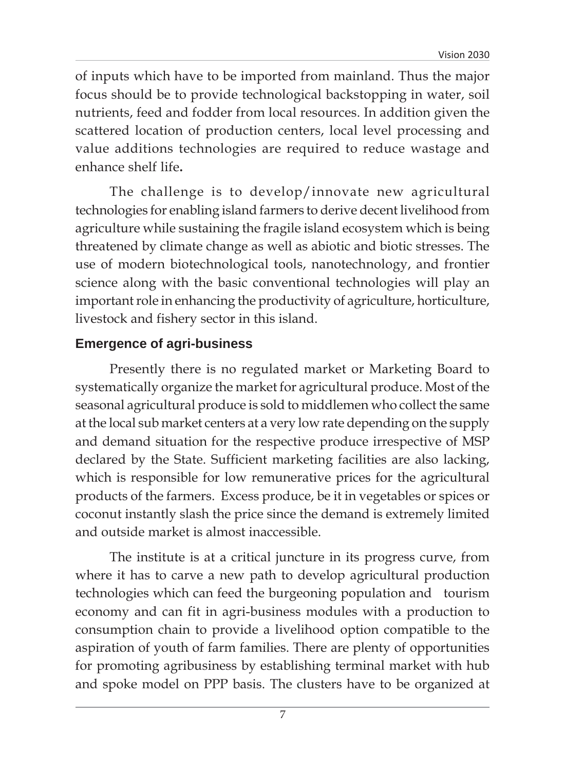of inputs which have to be imported from mainland. Thus the major focus should be to provide technological backstopping in water, soil nutrients, feed and fodder from local resources. In addition given the scattered location of production centers, local level processing and value additions technologies are required to reduce wastage and enhance shelf life**.**

The challenge is to develop/innovate new agricultural technologies for enabling island farmers to derive decent livelihood from agriculture while sustaining the fragile island ecosystem which is being threatened by climate change as well as abiotic and biotic stresses. The use of modern biotechnological tools, nanotechnology, and frontier science along with the basic conventional technologies will play an important role in enhancing the productivity of agriculture, horticulture, livestock and fishery sector in this island.

#### **Emergence of agri-business**

Presently there is no regulated market or Marketing Board to systematically organize the market for agricultural produce. Most of the seasonal agricultural produce is sold to middlemen who collect the same at the local sub market centers at a very low rate depending on the supply and demand situation for the respective produce irrespective of MSP declared by the State. Sufficient marketing facilities are also lacking, which is responsible for low remunerative prices for the agricultural products of the farmers. Excess produce, be it in vegetables or spices or coconut instantly slash the price since the demand is extremely limited and outside market is almost inaccessible.

The institute is at a critical juncture in its progress curve, from where it has to carve a new path to develop agricultural production technologies which can feed the burgeoning population and tourism economy and can fit in agri-business modules with a production to consumption chain to provide a livelihood option compatible to the aspiration of youth of farm families. There are plenty of opportunities for promoting agribusiness by establishing terminal market with hub and spoke model on PPP basis. The clusters have to be organized at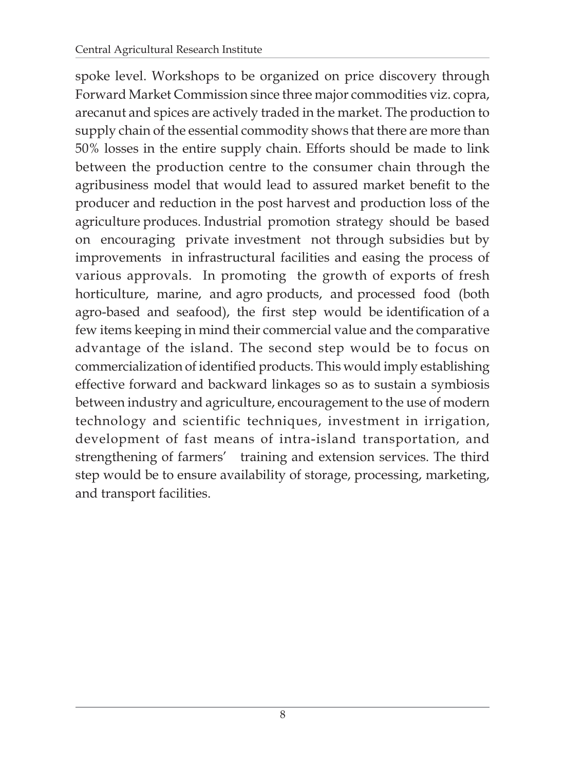spoke level. Workshops to be organized on price discovery through Forward Market Commission since three major commodities viz. copra, arecanut and spices are actively traded in the market. The production to supply chain of the essential commodity shows that there are more than 50% losses in the entire supply chain. Efforts should be made to link between the production centre to the consumer chain through the agribusiness model that would lead to assured market benefit to the producer and reduction in the post harvest and production loss of the agriculture produces. Industrial promotion strategy should be based on encouraging private investment not through subsidies but by improvements in infrastructural facilities and easing the process of various approvals. In promoting the growth of exports of fresh horticulture, marine, and agro products, and processed food (both agro-based and seafood), the first step would be identification of a few items keeping in mind their commercial value and the comparative advantage of the island. The second step would be to focus on commercialization of identified products. This would imply establishing effective forward and backward linkages so as to sustain a symbiosis between industry and agriculture, encouragement to the use of modern technology and scientific techniques, investment in irrigation, development of fast means of intra-island transportation, and strengthening of farmers' training and extension services. The third step would be to ensure availability of storage, processing, marketing, and transport facilities.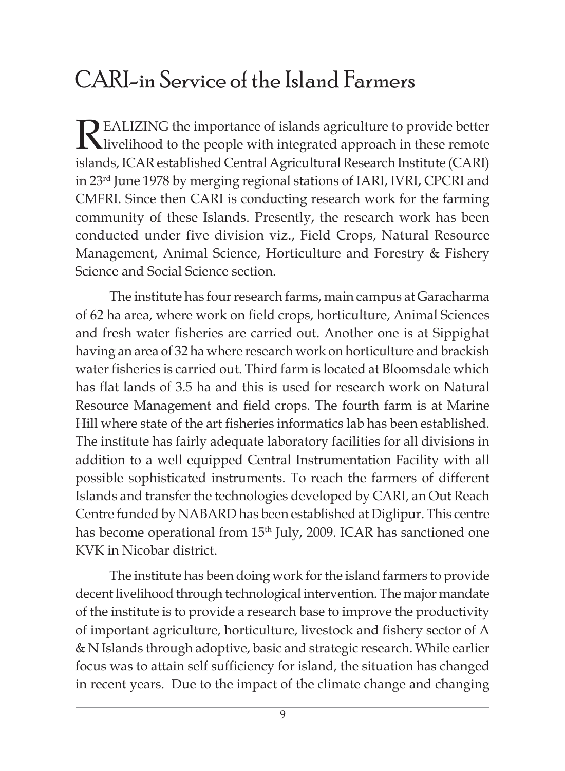### CARI-in Service of the Island Farmers

REALIZING the importance of islands agriculture to provide better<br>livelihood to the people with integrated approach in these remote islands, ICAR established Central Agricultural Research Institute (CARI) in 23rd June 1978 by merging regional stations of IARI, IVRI, CPCRI and CMFRI. Since then CARI is conducting research work for the farming community of these Islands. Presently, the research work has been conducted under five division viz., Field Crops, Natural Resource Management, Animal Science, Horticulture and Forestry & Fishery Science and Social Science section.

The institute has four research farms, main campus at Garacharma of 62 ha area, where work on field crops, horticulture, Animal Sciences and fresh water fisheries are carried out. Another one is at Sippighat having an area of 32 ha where research work on horticulture and brackish water fisheries is carried out. Third farm is located at Bloomsdale which has flat lands of 3.5 ha and this is used for research work on Natural Resource Management and field crops. The fourth farm is at Marine Hill where state of the art fisheries informatics lab has been established. The institute has fairly adequate laboratory facilities for all divisions in addition to a well equipped Central Instrumentation Facility with all possible sophisticated instruments. To reach the farmers of different Islands and transfer the technologies developed by CARI, an Out Reach Centre funded by NABARD has been established at Diglipur. This centre has become operational from 15<sup>th</sup> July, 2009. ICAR has sanctioned one KVK in Nicobar district.

The institute has been doing work for the island farmers to provide decent livelihood through technological intervention. The major mandate of the institute is to provide a research base to improve the productivity of important agriculture, horticulture, livestock and fishery sector of A & N Islands through adoptive, basic and strategic research. While earlier focus was to attain self sufficiency for island, the situation has changed in recent years. Due to the impact of the climate change and changing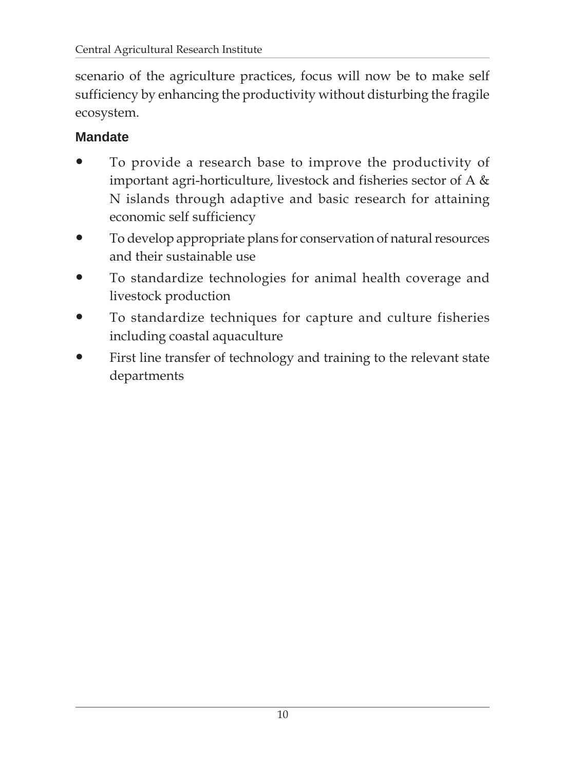scenario of the agriculture practices, focus will now be to make self sufficiency by enhancing the productivity without disturbing the fragile ecosystem.

#### **Mandate**

- To provide a research base to improve the productivity of important agri-horticulture, livestock and fisheries sector of A & N islands through adaptive and basic research for attaining economic self sufficiency
- To develop appropriate plans for conservation of natural resources and their sustainable use
- To standardize technologies for animal health coverage and livestock production
- To standardize techniques for capture and culture fisheries including coastal aquaculture
- First line transfer of technology and training to the relevant state departments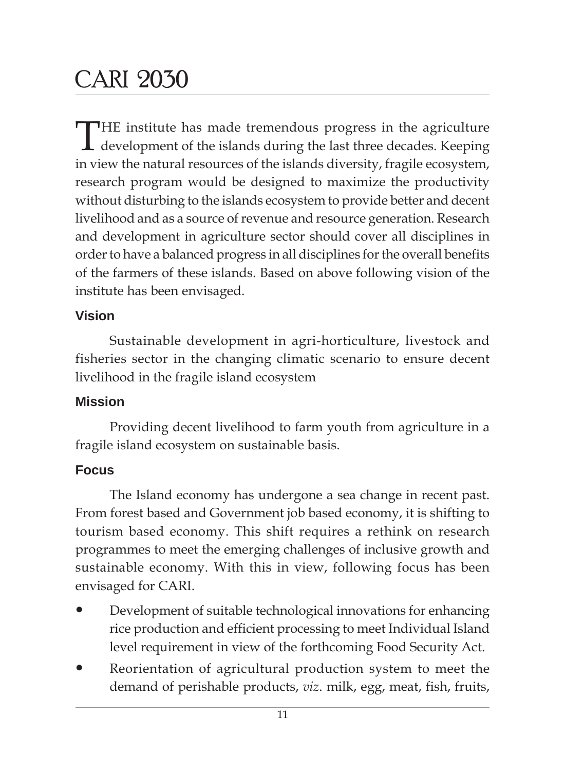### CARI 2030

THE institute has made tremendous progress in the agriculture development of the islands during the last three decades. Keeping in view the natural resources of the islands diversity, fragile ecosystem, research program would be designed to maximize the productivity without disturbing to the islands ecosystem to provide better and decent livelihood and as a source of revenue and resource generation. Research and development in agriculture sector should cover all disciplines in order to have a balanced progress in all disciplines for the overall benefits of the farmers of these islands. Based on above following vision of the institute has been envisaged.

#### **Vision**

Sustainable development in agri-horticulture, livestock and fisheries sector in the changing climatic scenario to ensure decent livelihood in the fragile island ecosystem

#### **Mission**

Providing decent livelihood to farm youth from agriculture in a fragile island ecosystem on sustainable basis.

#### **Focus**

The Island economy has undergone a sea change in recent past. From forest based and Government job based economy, it is shifting to tourism based economy. This shift requires a rethink on research programmes to meet the emerging challenges of inclusive growth and sustainable economy. With this in view, following focus has been envisaged for CARI.

- Development of suitable technological innovations for enhancing rice production and efficient processing to meet Individual Island level requirement in view of the forthcoming Food Security Act.
- Reorientation of agricultural production system to meet the demand of perishable products, *viz*. milk, egg, meat, fish, fruits,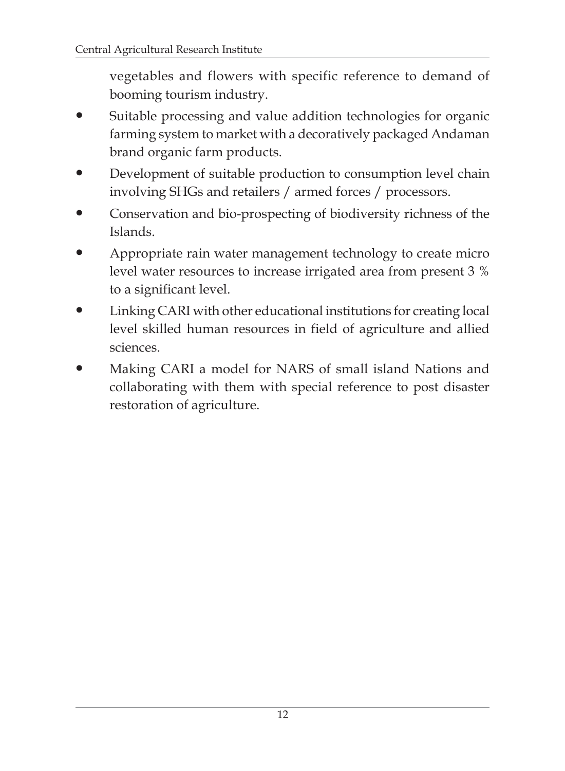vegetables and flowers with specific reference to demand of booming tourism industry.

- Suitable processing and value addition technologies for organic farming system to market with a decoratively packaged Andaman brand organic farm products.
- Development of suitable production to consumption level chain involving SHGs and retailers / armed forces / processors.
- Conservation and bio-prospecting of biodiversity richness of the Islands.
- Appropriate rain water management technology to create micro level water resources to increase irrigated area from present 3 % to a significant level.
- Linking CARI with other educational institutions for creating local level skilled human resources in field of agriculture and allied sciences.
- Making CARI a model for NARS of small island Nations and collaborating with them with special reference to post disaster restoration of agriculture.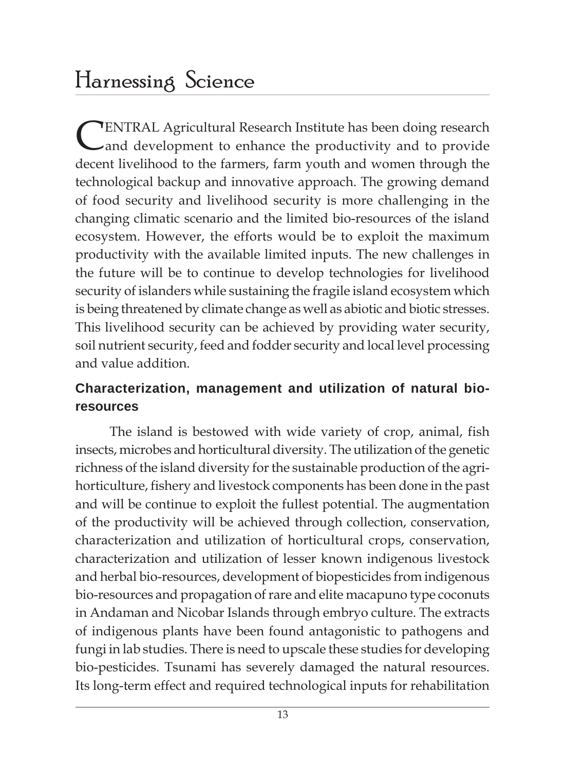### Harnessing Science

**CENTRAL Agricultural Research Institute has been doing research** and development to enhance the productivity and to provide decent livelihood to the farmers, farm youth and women through the technological backup and innovative approach. The growing demand of food security and livelihood security is more challenging in the changing climatic scenario and the limited bio-resources of the island ecosystem. However, the efforts would be to exploit the maximum productivity with the available limited inputs. The new challenges in the future will be to continue to develop technologies for livelihood security of islanders while sustaining the fragile island ecosystem which is being threatened by climate change as well as abiotic and biotic stresses. This livelihood security can be achieved by providing water security, soil nutrient security, feed and fodder security and local level processing and value addition.

#### **Characterization, management and utilization of natural bioresources**

The island is bestowed with wide variety of crop, animal, fish insects, microbes and horticultural diversity. The utilization of the genetic richness of the island diversity for the sustainable production of the agrihorticulture, fishery and livestock components has been done in the past and will be continue to exploit the fullest potential. The augmentation of the productivity will be achieved through collection, conservation, characterization and utilization of horticultural crops, conservation, characterization and utilization of lesser known indigenous livestock and herbal bio-resources, development of biopesticides from indigenous bio-resources and propagation of rare and elite macapuno type coconuts in Andaman and Nicobar Islands through embryo culture. The extracts of indigenous plants have been found antagonistic to pathogens and fungi in lab studies. There is need to upscale these studies for developing bio-pesticides. Tsunami has severely damaged the natural resources. Its long-term effect and required technological inputs for rehabilitation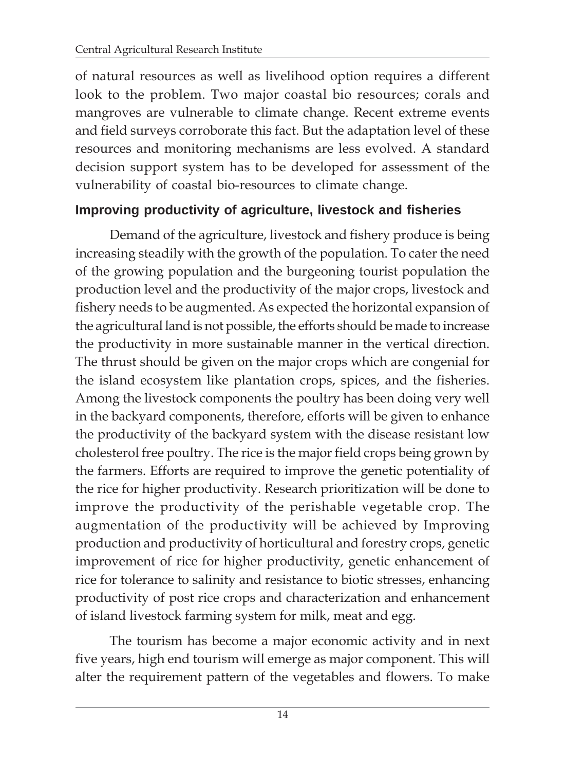of natural resources as well as livelihood option requires a different look to the problem. Two major coastal bio resources; corals and mangroves are vulnerable to climate change. Recent extreme events and field surveys corroborate this fact. But the adaptation level of these resources and monitoring mechanisms are less evolved. A standard decision support system has to be developed for assessment of the vulnerability of coastal bio-resources to climate change.

#### **Improving productivity of agriculture, livestock and fisheries**

Demand of the agriculture, livestock and fishery produce is being increasing steadily with the growth of the population. To cater the need of the growing population and the burgeoning tourist population the production level and the productivity of the major crops, livestock and fishery needs to be augmented. As expected the horizontal expansion of the agricultural land is not possible, the efforts should be made to increase the productivity in more sustainable manner in the vertical direction. The thrust should be given on the major crops which are congenial for the island ecosystem like plantation crops, spices, and the fisheries. Among the livestock components the poultry has been doing very well in the backyard components, therefore, efforts will be given to enhance the productivity of the backyard system with the disease resistant low cholesterol free poultry. The rice is the major field crops being grown by the farmers. Efforts are required to improve the genetic potentiality of the rice for higher productivity. Research prioritization will be done to improve the productivity of the perishable vegetable crop. The augmentation of the productivity will be achieved by Improving production and productivity of horticultural and forestry crops, genetic improvement of rice for higher productivity, genetic enhancement of rice for tolerance to salinity and resistance to biotic stresses, enhancing productivity of post rice crops and characterization and enhancement of island livestock farming system for milk, meat and egg.

The tourism has become a major economic activity and in next five years, high end tourism will emerge as major component. This will alter the requirement pattern of the vegetables and flowers. To make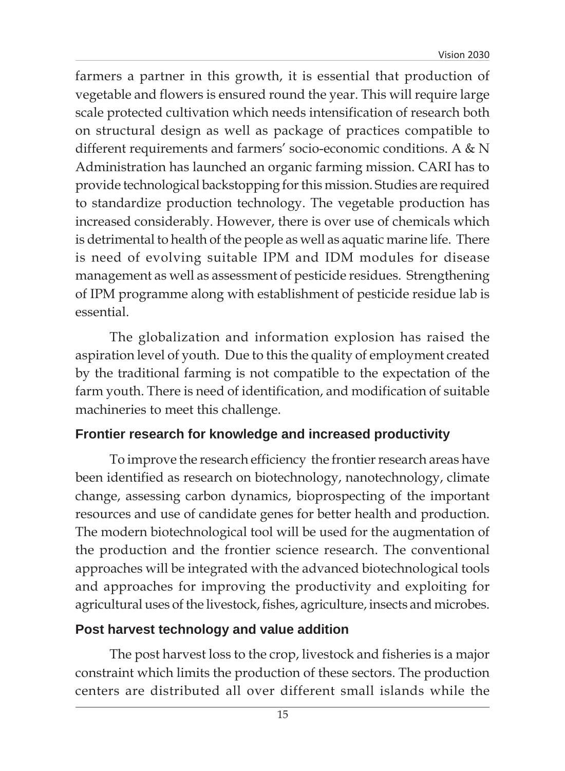farmers a partner in this growth, it is essential that production of vegetable and flowers is ensured round the year. This will require large scale protected cultivation which needs intensification of research both on structural design as well as package of practices compatible to different requirements and farmers' socio-economic conditions. A & N Administration has launched an organic farming mission. CARI has to provide technological backstopping for this mission. Studies are required to standardize production technology. The vegetable production has increased considerably. However, there is over use of chemicals which is detrimental to health of the people as well as aquatic marine life. There is need of evolving suitable IPM and IDM modules for disease management as well as assessment of pesticide residues. Strengthening of IPM programme along with establishment of pesticide residue lab is essential.

The globalization and information explosion has raised the aspiration level of youth. Due to this the quality of employment created by the traditional farming is not compatible to the expectation of the farm youth. There is need of identification, and modification of suitable machineries to meet this challenge.

#### **Frontier research for knowledge and increased productivity**

To improve the research efficiency the frontier research areas have been identified as research on biotechnology, nanotechnology, climate change, assessing carbon dynamics, bioprospecting of the important resources and use of candidate genes for better health and production. The modern biotechnological tool will be used for the augmentation of the production and the frontier science research. The conventional approaches will be integrated with the advanced biotechnological tools and approaches for improving the productivity and exploiting for agricultural uses of the livestock, fishes, agriculture, insects and microbes.

#### **Post harvest technology and value addition**

The post harvest loss to the crop, livestock and fisheries is a major constraint which limits the production of these sectors. The production centers are distributed all over different small islands while the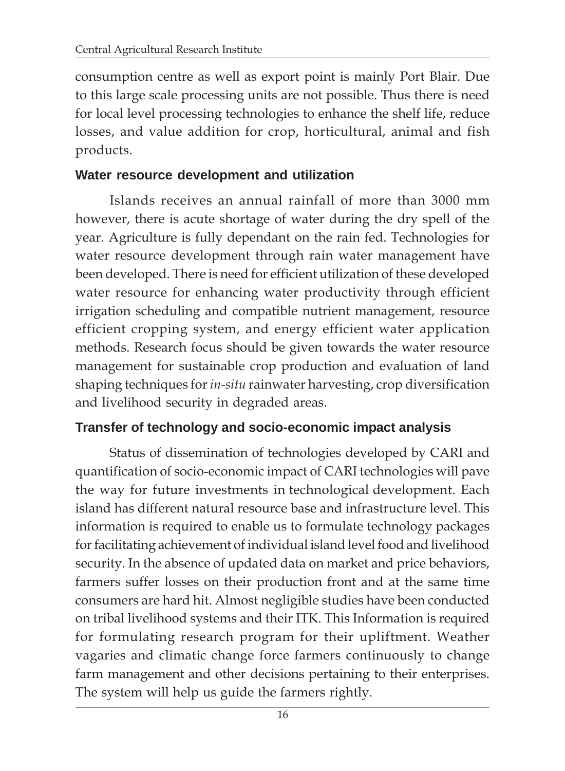consumption centre as well as export point is mainly Port Blair. Due to this large scale processing units are not possible. Thus there is need for local level processing technologies to enhance the shelf life, reduce losses, and value addition for crop, horticultural, animal and fish products.

#### **Water resource development and utilization**

Islands receives an annual rainfall of more than 3000 mm however, there is acute shortage of water during the dry spell of the year. Agriculture is fully dependant on the rain fed. Technologies for water resource development through rain water management have been developed. There is need for efficient utilization of these developed water resource for enhancing water productivity through efficient irrigation scheduling and compatible nutrient management, resource efficient cropping system, and energy efficient water application methods. Research focus should be given towards the water resource management for sustainable crop production and evaluation of land shaping techniques for *in-situ* rainwater harvesting, crop diversification and livelihood security in degraded areas.

#### **Transfer of technology and socio-economic impact analysis**

Status of dissemination of technologies developed by CARI and quantification of socio-economic impact of CARI technologies will pave the way for future investments in technological development. Each island has different natural resource base and infrastructure level. This information is required to enable us to formulate technology packages for facilitating achievement of individual island level food and livelihood security. In the absence of updated data on market and price behaviors, farmers suffer losses on their production front and at the same time consumers are hard hit. Almost negligible studies have been conducted on tribal livelihood systems and their ITK. This Information is required for formulating research program for their upliftment. Weather vagaries and climatic change force farmers continuously to change farm management and other decisions pertaining to their enterprises. The system will help us guide the farmers rightly.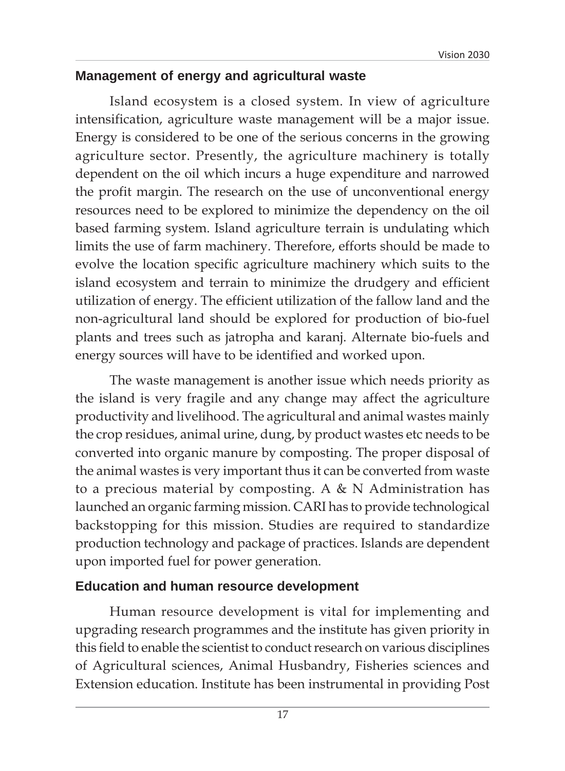#### **Management of energy and agricultural waste**

Island ecosystem is a closed system. In view of agriculture intensification, agriculture waste management will be a major issue. Energy is considered to be one of the serious concerns in the growing agriculture sector. Presently, the agriculture machinery is totally dependent on the oil which incurs a huge expenditure and narrowed the profit margin. The research on the use of unconventional energy resources need to be explored to minimize the dependency on the oil based farming system. Island agriculture terrain is undulating which limits the use of farm machinery. Therefore, efforts should be made to evolve the location specific agriculture machinery which suits to the island ecosystem and terrain to minimize the drudgery and efficient utilization of energy. The efficient utilization of the fallow land and the non-agricultural land should be explored for production of bio-fuel plants and trees such as jatropha and karanj. Alternate bio-fuels and energy sources will have to be identified and worked upon.

The waste management is another issue which needs priority as the island is very fragile and any change may affect the agriculture productivity and livelihood. The agricultural and animal wastes mainly the crop residues, animal urine, dung, by product wastes etc needs to be converted into organic manure by composting. The proper disposal of the animal wastes is very important thus it can be converted from waste to a precious material by composting. A  $\&$  N Administration has launched an organic farming mission. CARI has to provide technological backstopping for this mission. Studies are required to standardize production technology and package of practices. Islands are dependent upon imported fuel for power generation.

#### **Education and human resource development**

Human resource development is vital for implementing and upgrading research programmes and the institute has given priority in this field to enable the scientist to conduct research on various disciplines of Agricultural sciences, Animal Husbandry, Fisheries sciences and Extension education. Institute has been instrumental in providing Post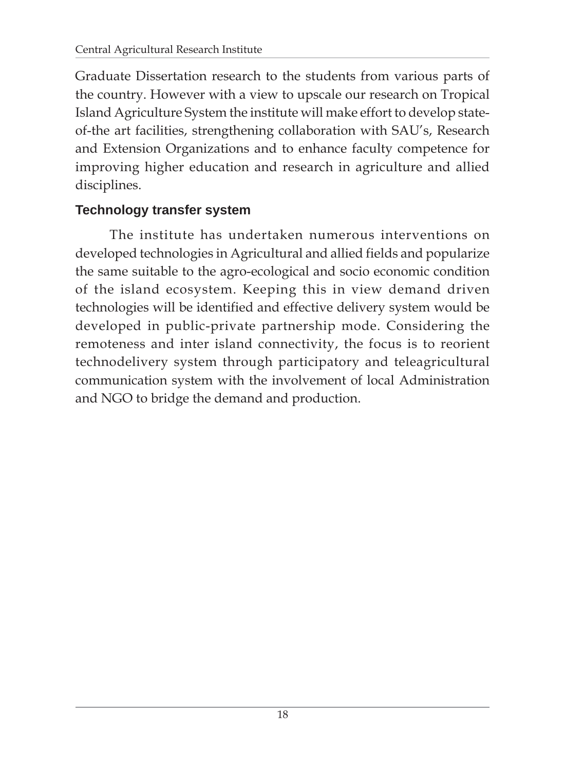Graduate Dissertation research to the students from various parts of the country. However with a view to upscale our research on Tropical Island Agriculture System the institute will make effort to develop stateof-the art facilities, strengthening collaboration with SAU's, Research and Extension Organizations and to enhance faculty competence for improving higher education and research in agriculture and allied disciplines.

#### **Technology transfer system**

The institute has undertaken numerous interventions on developed technologies in Agricultural and allied fields and popularize the same suitable to the agro-ecological and socio economic condition of the island ecosystem. Keeping this in view demand driven technologies will be identified and effective delivery system would be developed in public-private partnership mode. Considering the remoteness and inter island connectivity, the focus is to reorient technodelivery system through participatory and teleagricultural communication system with the involvement of local Administration and NGO to bridge the demand and production.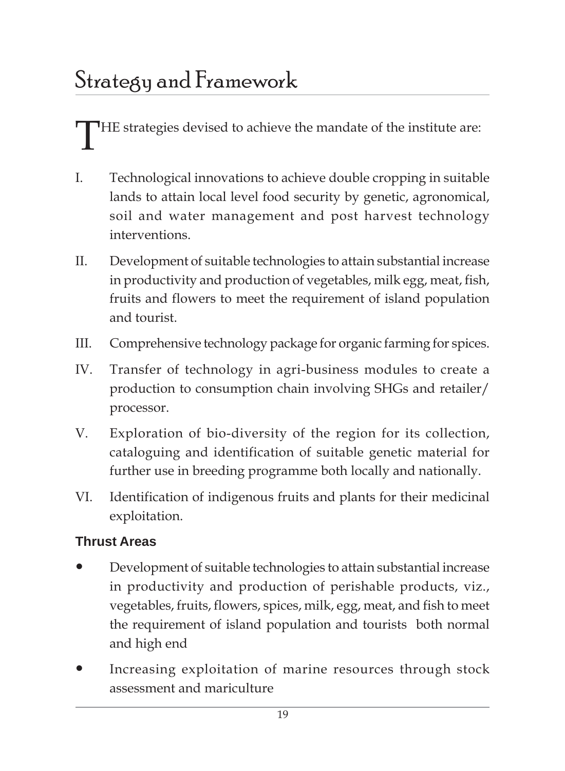THE strategies devised to achieve the mandate of the institute are:

- I. Technological innovations to achieve double cropping in suitable lands to attain local level food security by genetic, agronomical, soil and water management and post harvest technology interventions.
- II. Development of suitable technologies to attain substantial increase in productivity and production of vegetables, milk egg, meat, fish, fruits and flowers to meet the requirement of island population and tourist.
- III. Comprehensive technology package for organic farming for spices.
- IV. Transfer of technology in agri-business modules to create a production to consumption chain involving SHGs and retailer/ processor.
- V. Exploration of bio-diversity of the region for its collection, cataloguing and identification of suitable genetic material for further use in breeding programme both locally and nationally.
- VI. Identification of indigenous fruits and plants for their medicinal exploitation.

#### **Thrust Areas**

- Development of suitable technologies to attain substantial increase in productivity and production of perishable products, viz., vegetables, fruits, flowers, spices, milk, egg, meat, and fish to meet the requirement of island population and tourists both normal and high end
- Increasing exploitation of marine resources through stock assessment and mariculture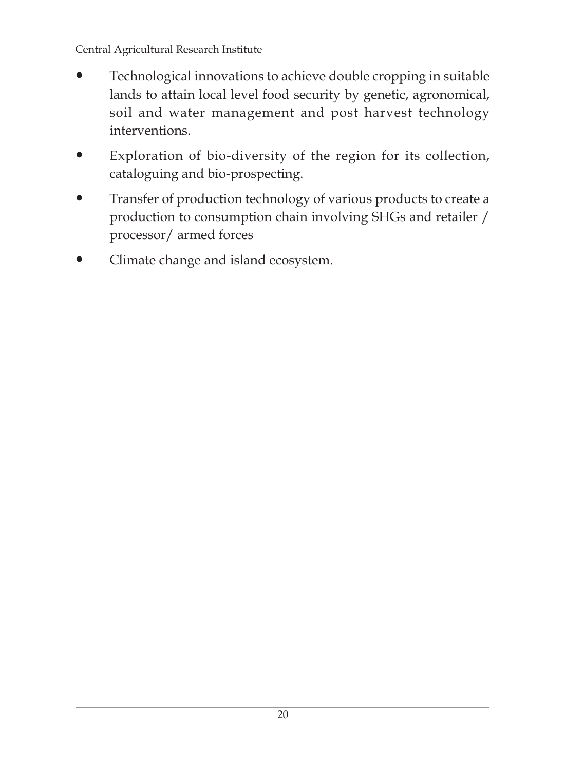- Technological innovations to achieve double cropping in suitable lands to attain local level food security by genetic, agronomical, soil and water management and post harvest technology interventions.
- Exploration of bio-diversity of the region for its collection, cataloguing and bio-prospecting.
- Transfer of production technology of various products to create a production to consumption chain involving SHGs and retailer / processor/ armed forces
- Climate change and island ecosystem.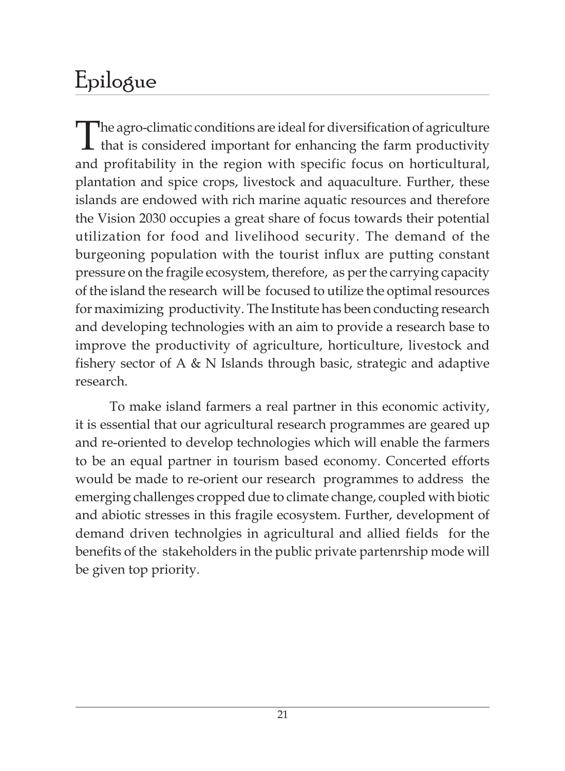### Epilogue

The agro-climatic conditions are ideal for diversification of agriculture<br>that is considered important for enhancing the farm productivity and profitability in the region with specific focus on horticultural, plantation and spice crops, livestock and aquaculture. Further, these islands are endowed with rich marine aquatic resources and therefore the Vision 2030 occupies a great share of focus towards their potential utilization for food and livelihood security. The demand of the burgeoning population with the tourist influx are putting constant pressure on the fragile ecosystem, therefore, as per the carrying capacity of the island the research will be focused to utilize the optimal resources for maximizing productivity. The Institute has been conducting research and developing technologies with an aim to provide a research base to improve the productivity of agriculture, horticulture, livestock and fishery sector of A & N Islands through basic, strategic and adaptive research.

To make island farmers a real partner in this economic activity, it is essential that our agricultural research programmes are geared up and re-oriented to develop technologies which will enable the farmers to be an equal partner in tourism based economy. Concerted efforts would be made to re-orient our research programmes to address the emerging challenges cropped due to climate change, coupled with biotic and abiotic stresses in this fragile ecosystem. Further, development of demand driven technolgies in agricultural and allied fields for the benefits of the stakeholders in the public private partenrship mode will be given top priority.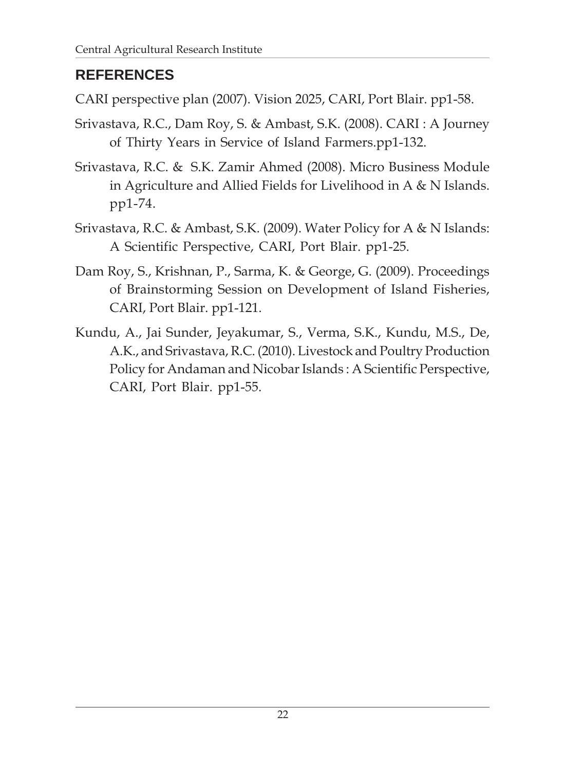#### **REFERENCES**

CARI perspective plan (2007). Vision 2025, CARI, Port Blair. pp1-58.

- Srivastava, R.C., Dam Roy, S. & Ambast, S.K. (2008). CARI : A Journey of Thirty Years in Service of Island Farmers.pp1-132.
- Srivastava, R.C. & S.K. Zamir Ahmed (2008). Micro Business Module in Agriculture and Allied Fields for Livelihood in A & N Islands. pp1-74.
- Srivastava, R.C. & Ambast, S.K. (2009). Water Policy for A & N Islands: A Scientific Perspective, CARI, Port Blair. pp1-25.
- Dam Roy, S., Krishnan, P., Sarma, K. & George, G. (2009). Proceedings of Brainstorming Session on Development of Island Fisheries, CARI, Port Blair. pp1-121.
- Kundu, A., Jai Sunder, Jeyakumar, S., Verma, S.K., Kundu, M.S., De, A.K., and Srivastava, R.C. (2010). Livestock and Poultry Production Policy for Andaman and Nicobar Islands : A Scientific Perspective, CARI, Port Blair. pp1-55.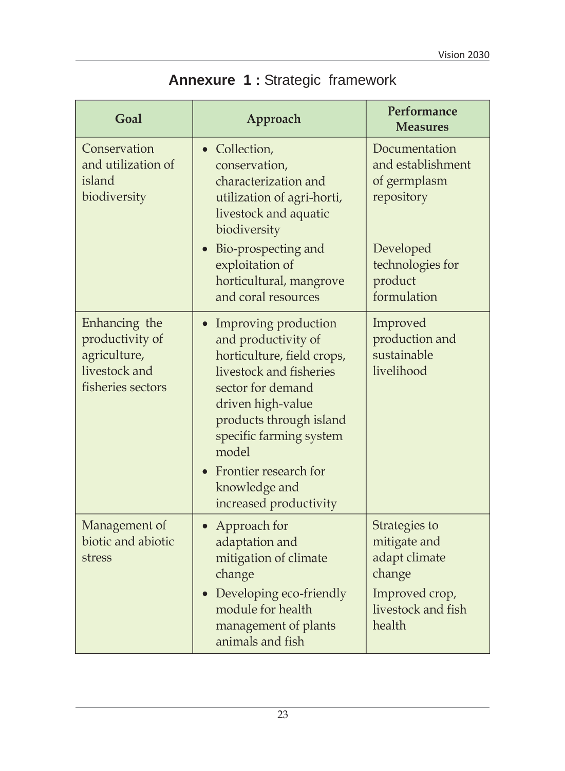| Goal                                                                                   | Approach                                                                                                                                                                                                                                                                                       | Performance<br><b>Measures</b>                                                                             |
|----------------------------------------------------------------------------------------|------------------------------------------------------------------------------------------------------------------------------------------------------------------------------------------------------------------------------------------------------------------------------------------------|------------------------------------------------------------------------------------------------------------|
| Conservation<br>and utilization of<br>island<br>biodiversity                           | • Collection,<br>conservation,<br>characterization and<br>utilization of agri-horti,<br>livestock and aquatic<br>biodiversity                                                                                                                                                                  | Documentation<br>and establishment<br>of germplasm<br>repository                                           |
|                                                                                        | Bio-prospecting and<br>exploitation of<br>horticultural, mangrove<br>and coral resources                                                                                                                                                                                                       | Developed<br>technologies for<br>product<br>formulation                                                    |
| Enhancing the<br>productivity of<br>agriculture,<br>livestock and<br>fisheries sectors | Improving production<br>$\bullet$<br>and productivity of<br>horticulture, field crops,<br>livestock and fisheries<br>sector for demand<br>driven high-value<br>products through island<br>specific farming system<br>model<br>Frontier research for<br>knowledge and<br>increased productivity | Improved<br>production and<br>sustainable<br>livelihood                                                    |
| Management of<br>biotic and abiotic<br>stress                                          | Approach for<br>$\bullet$<br>adaptation and<br>mitigation of climate<br>change<br>Developing eco-friendly<br>module for health<br>management of plants<br>animals and fish                                                                                                                     | Strategies to<br>mitigate and<br>adapt climate<br>change<br>Improved crop,<br>livestock and fish<br>health |

### **Annexure 1 :** Strategic framework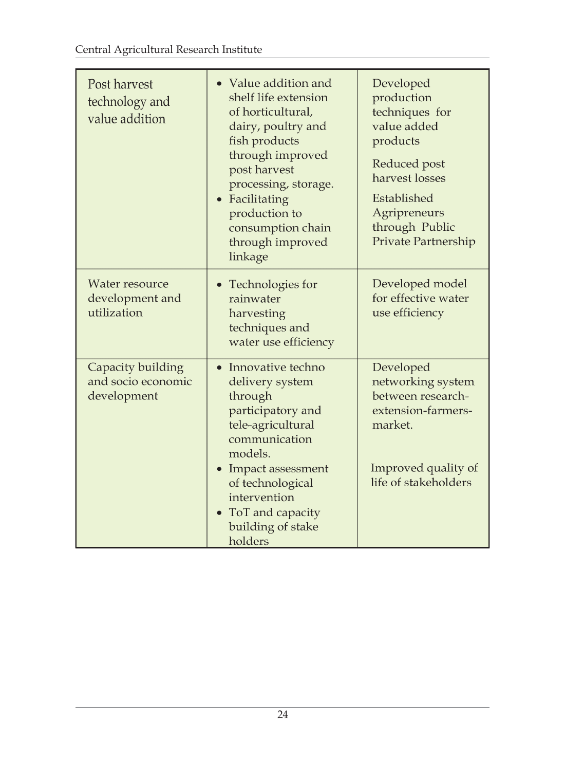| Post harvest<br>technology and<br>value addition       | • Value addition and<br>shelf life extension<br>of horticultural,<br>dairy, poultry and<br>fish products<br>through improved<br>post harvest<br>processing, storage.<br>• Facilitating<br>production to<br>consumption chain<br>through improved<br>linkage | Developed<br>production<br>techniques for<br>value added<br>products<br>Reduced post<br>harvest losses<br>Established<br>Agripreneurs<br>through Public<br>Private Partnership |
|--------------------------------------------------------|-------------------------------------------------------------------------------------------------------------------------------------------------------------------------------------------------------------------------------------------------------------|--------------------------------------------------------------------------------------------------------------------------------------------------------------------------------|
| Water resource<br>development and<br>utilization       | Technologies for<br>rainwater<br>harvesting<br>techniques and<br>water use efficiency                                                                                                                                                                       | Developed model<br>for effective water<br>use efficiency                                                                                                                       |
| Capacity building<br>and socio economic<br>development | • Innovative techno<br>delivery system<br>through<br>participatory and<br>tele-agricultural<br>communication<br>models.<br>• Impact assessment<br>of technological<br>intervention<br>ToT and capacity<br>building of stake                                 | Developed<br>networking system<br>between research-<br>extension-farmers-<br>market.<br>Improved quality of<br>life of stakeholders                                            |